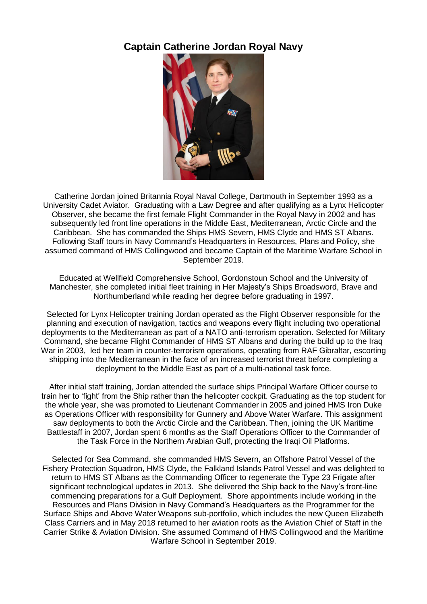## **Captain Catherine Jordan Royal Navy**



Catherine Jordan joined Britannia Royal Naval College, Dartmouth in September 1993 as a University Cadet Aviator. Graduating with a Law Degree and after qualifying as a Lynx Helicopter Observer, she became the first female Flight Commander in the Royal Navy in 2002 and has subsequently led front line operations in the Middle East, Mediterranean, Arctic Circle and the Caribbean. She has commanded the Ships HMS Severn, HMS Clyde and HMS ST Albans. Following Staff tours in Navy Command's Headquarters in Resources, Plans and Policy, she assumed command of HMS Collingwood and became Captain of the Maritime Warfare School in September 2019.

Educated at Wellfield Comprehensive School, Gordonstoun School and the University of Manchester, she completed initial fleet training in Her Majesty's Ships Broadsword, Brave and Northumberland while reading her degree before graduating in 1997.

Selected for Lynx Helicopter training Jordan operated as the Flight Observer responsible for the planning and execution of navigation, tactics and weapons every flight including two operational deployments to the Mediterranean as part of a NATO anti-terrorism operation. Selected for Military Command, she became Flight Commander of HMS ST Albans and during the build up to the Iraq War in 2003, led her team in counter-terrorism operations, operating from RAF Gibraltar, escorting shipping into the Mediterranean in the face of an increased terrorist threat before completing a deployment to the Middle East as part of a multi-national task force.

After initial staff training, Jordan attended the surface ships Principal Warfare Officer course to train her to 'fight' from the Ship rather than the helicopter cockpit. Graduating as the top student for the whole year, she was promoted to Lieutenant Commander in 2005 and joined HMS Iron Duke as Operations Officer with responsibility for Gunnery and Above Water Warfare. This assignment saw deployments to both the Arctic Circle and the Caribbean. Then, joining the UK Maritime Battlestaff in 2007, Jordan spent 6 months as the Staff Operations Officer to the Commander of the Task Force in the Northern Arabian Gulf, protecting the Iraqi Oil Platforms.

Selected for Sea Command, she commanded HMS Severn, an Offshore Patrol Vessel of the Fishery Protection Squadron, HMS Clyde, the Falkland Islands Patrol Vessel and was delighted to return to HMS ST Albans as the Commanding Officer to regenerate the Type 23 Frigate after significant technological updates in 2013. She delivered the Ship back to the Navy's front-line commencing preparations for a Gulf Deployment. Shore appointments include working in the Resources and Plans Division in Navy Command's Headquarters as the Programmer for the Surface Ships and Above Water Weapons sub-portfolio, which includes the new Queen Elizabeth Class Carriers and in May 2018 returned to her aviation roots as the Aviation Chief of Staff in the Carrier Strike & Aviation Division. She assumed Command of HMS Collingwood and the Maritime Warfare School in September 2019.